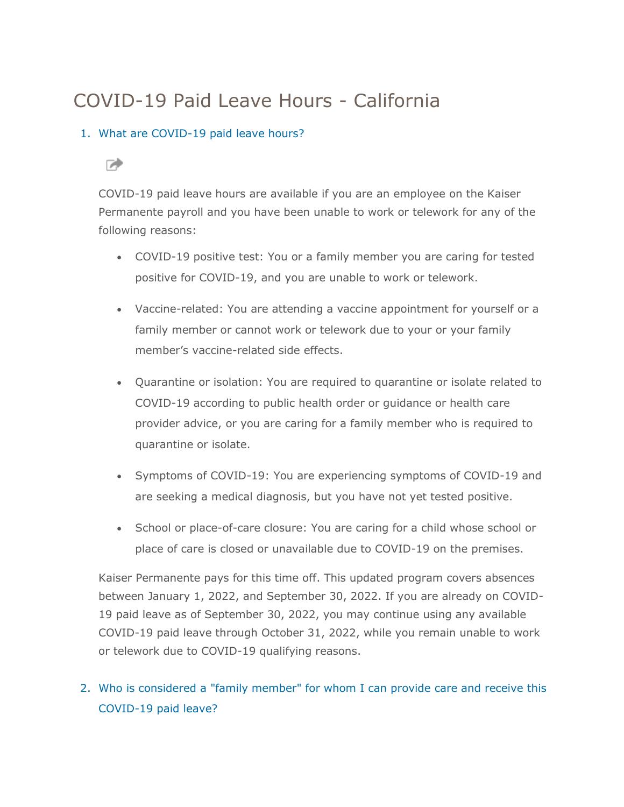# COVID-19 Paid Leave Hours - California

#### 1. [What are COVID-19 paid leave hours?](javascript:void(0);)

### ☞

COVID-19 paid leave hours are available if you are an employee on the Kaiser Permanente payroll and you have been unable to work or telework for any of the following reasons:

- COVID-19 positive test: You or a family member you are caring for tested positive for COVID-19, and you are unable to work or telework.
- Vaccine-related: You are attending a vaccine appointment for yourself or a family member or cannot work or telework due to your or your family member's vaccine-related side effects.
- Quarantine or isolation: You are required to quarantine or isolate related to COVID-19 according to public health order or guidance or health care provider advice, or you are caring for a family member who is required to quarantine or isolate.
- Symptoms of COVID-19: You are experiencing symptoms of COVID-19 and are seeking a medical diagnosis, but you have not yet tested positive.
- School or place-of-care closure: You are caring for a child whose school or place of care is closed or unavailable due to COVID-19 on the premises.

Kaiser Permanente pays for this time off. This updated program covers absences between January 1, 2022, and September 30, 2022. If you are already on COVID-19 paid leave as of September 30, 2022, you may continue using any available COVID-19 paid leave through October 31, 2022, while you remain unable to work or telework due to COVID-19 qualifying reasons.

2. [Who is considered a "family member" for whom I can provide care and receive this](javascript:void(0);)  [COVID-19 paid leave?](javascript:void(0);)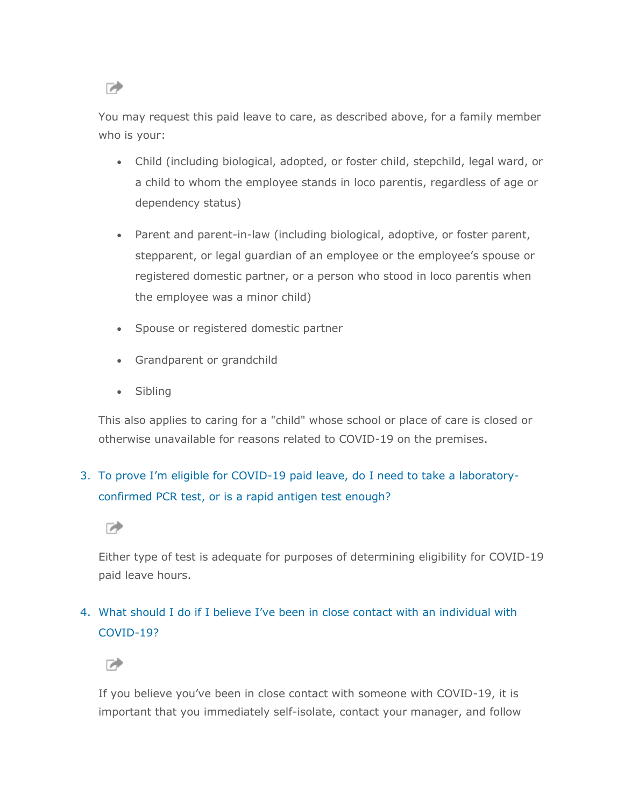☞

You may request this paid leave to care, as described above, for a family member who is your:

- Child (including biological, adopted, or foster child, stepchild, legal ward, or a child to whom the employee stands in loco parentis, regardless of age or dependency status)
- Parent and parent-in-law (including biological, adoptive, or foster parent, stepparent, or legal guardian of an employee or the employee's spouse or registered domestic partner, or a person who stood in loco parentis when the employee was a minor child)
- Spouse or registered domestic partner
- Grandparent or grandchild
- Sibling

This also applies to caring for a "child" whose school or place of care is closed or otherwise unavailable for reasons related to COVID-19 on the premises.

### 3. To prove I'm eligible for COVID[-19 paid leave, do I need to take a laboratory](javascript:void(0);)[confirmed PCR test, or is a rapid antigen test enough?](javascript:void(0);)

☞

Either type of test is adequate for purposes of determining eligibility for COVID-19 paid leave hours.

### 4. [What should I do if I believe I've been in cl](javascript:void(0);)ose contact with an individual with [COVID-19?](javascript:void(0);)

☞

If you believe you've been in close contact with someone with COVID-19, it is important that you immediately self-isolate, contact your manager, and follow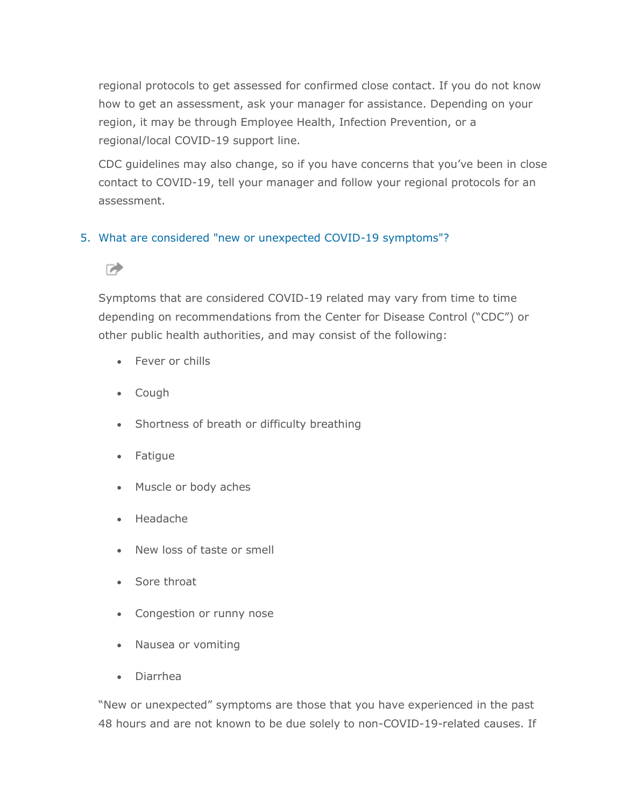regional protocols to get assessed for confirmed close contact. If you do not know how to get an assessment, ask your manager for assistance. Depending on your region, it may be through Employee Health, Infection Prevention, or a regional/local COVID-19 support line.

CDC guidelines may also change, so if you have concerns that you've been in close contact to COVID-19, tell your manager and follow your regional protocols for an assessment.

#### 5. [What are considered "new or unexpected COVID-19 symptoms"?](javascript:void(0);)

#### ☞

Symptoms that are considered COVID-19 related may vary from time to time depending on recommendations from the Center for Disease Control ("CDC") or other public health authorities, and may consist of the following:

- Fever or chills
- Cough
- Shortness of breath or difficulty breathing
- Fatigue
- Muscle or body aches
- Headache
- New loss of taste or smell
- Sore throat
- Congestion or runny nose
- Nausea or vomiting
- Diarrhea

"New or unexpected" symptoms are those that you have experienced in the past 48 hours and are not known to be due solely to non-COVID-19-related causes. If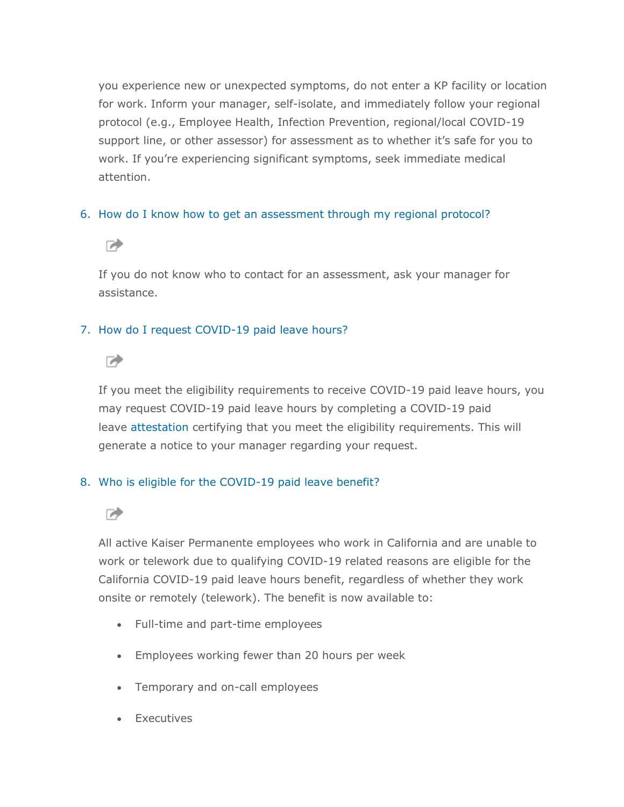you experience new or unexpected symptoms, do not enter a KP facility or location for work. Inform your manager, self-isolate, and immediately follow your regional protocol (e.g., Employee Health, Infection Prevention, regional/local COVID-19 support line, or other assessor) for assessment as to whether it's safe for you to work. If you're experiencing significant symptoms, seek immediate medical attention.

#### 6. [How do I know how to get an assessment through my regional protocol?](javascript:void(0);)



If you do not know who to contact for an assessment, ask your manager for assistance.

#### 7. [How do I request COVID-19 paid leave hours?](javascript:void(0);)



If you meet the eligibility requirements to receive COVID-19 paid leave hours, you may request COVID-19 paid leave hours by completing a COVID-19 paid leave [attestation](https://hrconnect.kp.org/wps/myportal/hr/benefitsandwellness/benefitsandcoverage/covid19reliefbenefits/questions/!ut/p/z1/hVLLbtswEPyWHHQq5KWph6XelCCF49YwmtS1pEtAUUuJhUzKFKXUf1-qbdAWiF0eCO5iZmd2QCghh1KxSTbMSq1Y5-qijJ9p-omswx1ZJx_TDyS73ey-PD7tAkIjOPwEkAsnI1Be53-F4haK6d39-ND8HnYFXV7XKhx_dZH_EMNhkvgCe6XN0S33BCWUPZc1FDxOacyR-5SL1A8Dd7EVq32esjoSLFymy3BGH-62z5_3949OaRj7Xhs7IJ-zgqLGgCYBCr-qIuqHTCQ-C-PUjwIaYpzQFY1SWBPY_C8Slzk127tt48wx2_pSCQ15hQqFtANTNdcTGtYg5O4l62VqsJMoXhGQn0YcZlPDPEt-O53KDEqulcXvFvLjuTUewV4M0qJH5uKv4S_YdQqH4Z_mq6JH3lT0yB9Ft17T6erX38lUFSRuD4MCDZrFaFy7tbYf3nvEI2y0LSorObPaLHqpGq1wwfXRI2-xWz04-xdJ0B_36uwXm2kr2q5JbHIOuia7ufkBJ9t8XQ!!/dz/d5/L2dBISEvZ0FBIS9nQSEh/?1dmy&urile=wcm%3apath%3a%2Fmyhr%2Fepfsite%2Fhr%2Fbenefitsandwellness%2Fbenefitsandcoverage%2Fcovid19reliefbenefits%2Fresources%2Fcovid19attestationform_crm_ext_link) certifying that you meet the eligibility requirements. This will generate a notice to your manager regarding your request.

#### 8. [Who is eligible for the COVID-19 paid leave benefit?](javascript:void(0);)



All active Kaiser Permanente employees who work in California and are unable to work or telework due to qualifying COVID-19 related reasons are eligible for the California COVID-19 paid leave hours benefit, regardless of whether they work onsite or remotely (telework). The benefit is now available to:

- Full-time and part-time employees
- Employees working fewer than 20 hours per week
- Temporary and on-call employees
- Executives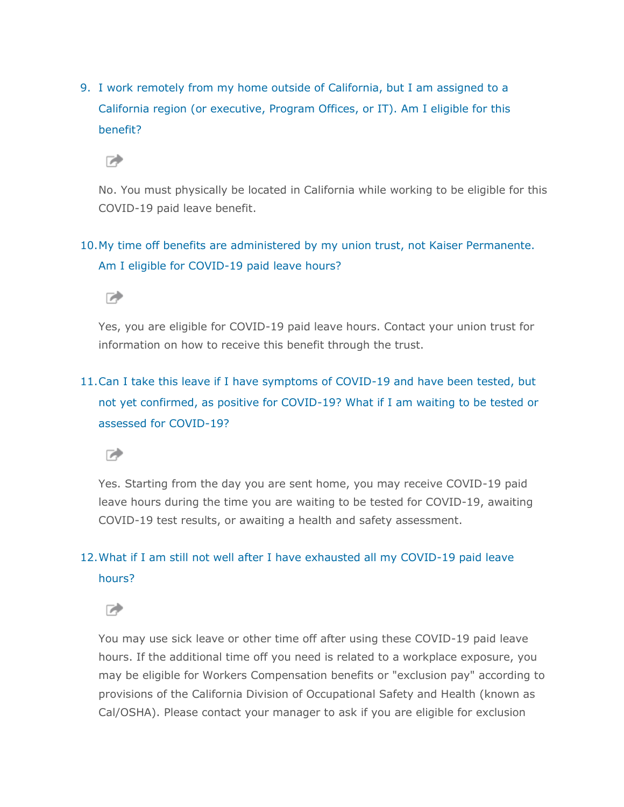9. [I work remotely from my home outside of California, but I am assigned to a](javascript:void(0);)  [California region \(or executive, Program Offices, or IT\). Am I eligible for this](javascript:void(0);)  [benefit?](javascript:void(0);)

☞

No. You must physically be located in California while working to be eligible for this COVID-19 paid leave benefit.

#### 10[.My time off benefits are administered by my union trust, not Kaiser Permanente.](javascript:void(0);)  [Am I eligible for COVID-19 paid leave hours?](javascript:void(0);)



Yes, you are eligible for COVID-19 paid leave hours. Contact your union trust for information on how to receive this benefit through the trust.

# 11[.Can I take this leave if I have symptoms of COVID-19 and have been tested, but](javascript:void(0);)  [not yet confirmed, as positive for COVID-19? What if I am waiting to be tested or](javascript:void(0);)  [assessed for COVID-19?](javascript:void(0);)

☞

Yes. Starting from the day you are sent home, you may receive COVID-19 paid leave hours during the time you are waiting to be tested for COVID-19, awaiting COVID-19 test results, or awaiting a health and safety assessment.

### 12[.What if I am still not well after I have exhausted all my COVID-19 paid leave](javascript:void(0);)  [hours?](javascript:void(0);)



You may use sick leave or other time off after using these COVID-19 paid leave hours. If the additional time off you need is related to a workplace exposure, you may be eligible for Workers Compensation benefits or "exclusion pay" according to provisions of the California Division of Occupational Safety and Health (known as Cal/OSHA). Please contact your manager to ask if you are eligible for exclusion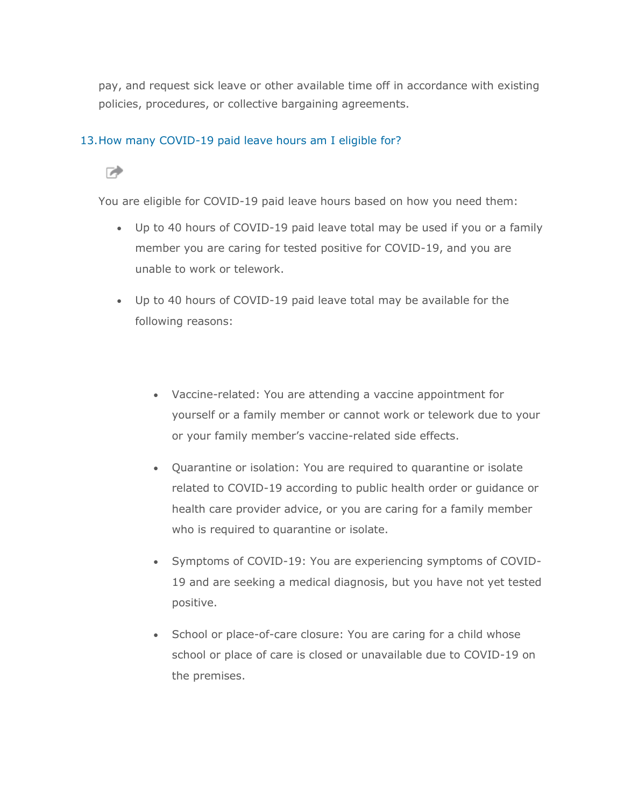pay, and request sick leave or other available time off in accordance with existing policies, procedures, or collective bargaining agreements.

#### 13[.How many COVID-19 paid leave hours am I](javascript:void(0);) eligible for?

#### ☞

You are eligible for COVID-19 paid leave hours based on how you need them:

- Up to 40 hours of COVID-19 paid leave total may be used if you or a family member you are caring for tested positive for COVID-19, and you are unable to work or telework.
- Up to 40 hours of COVID-19 paid leave total may be available for the following reasons:
	- Vaccine-related: You are attending a vaccine appointment for yourself or a family member or cannot work or telework due to your or your family member's vaccine-related side effects.
	- Quarantine or isolation: You are required to quarantine or isolate related to COVID-19 according to public health order or guidance or health care provider advice, or you are caring for a family member who is required to quarantine or isolate.
	- Symptoms of COVID-19: You are experiencing symptoms of COVID-19 and are seeking a medical diagnosis, but you have not yet tested positive.
	- School or place-of-care closure: You are caring for a child whose school or place of care is closed or unavailable due to COVID-19 on the premises.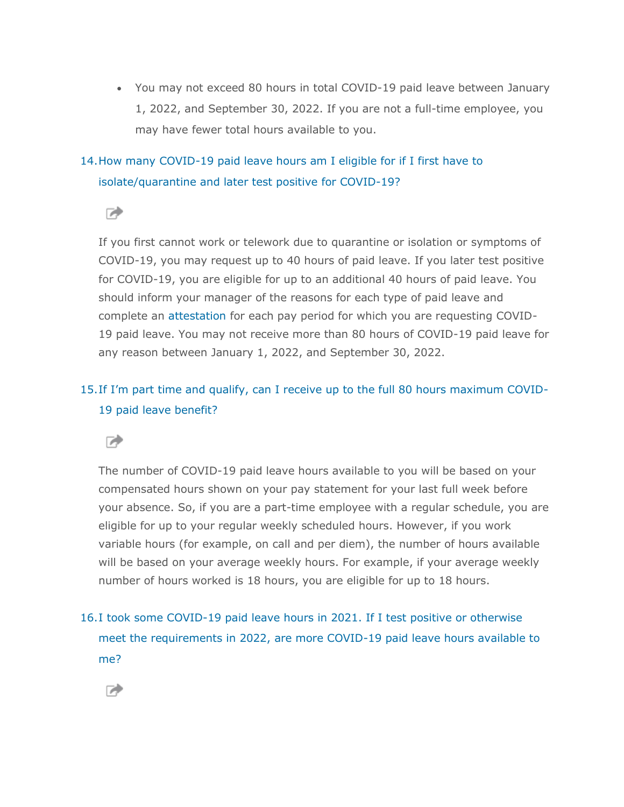• You may not exceed 80 hours in total COVID-19 paid leave between January 1, 2022, and September 30, 2022. If you are not a full-time employee, you may have fewer total hours available to you.

### 14[.How many COVID-19 paid leave hours am I eligible for if I first have to](javascript:void(0);)  [isolate/quarantine and later test positive for COVID-19?](javascript:void(0);)

 $\rightarrow$ 

If you first cannot work or telework due to quarantine or isolation or symptoms of COVID-19, you may request up to 40 hours of paid leave. If you later test positive for COVID-19, you are eligible for up to an additional 40 hours of paid leave. You should inform your manager of the reasons for each type of paid leave and complete an [attestation](https://hrconnect.kp.org/wps/myportal/hr/benefitsandwellness/benefitsandcoverage/covid19reliefbenefits/questions/!ut/p/z1/hVLLbtswEPyWHHQq5KWph6XelCCF49YwmtS1pEtAUUuJhUzKFKXUf1-qbdAWiF0eCO5iZmd2QCghh1KxSTbMSq1Y5-qijJ9p-omswx1ZJx_TDyS73ey-PD7tAkIjOPwEkAsnI1Be53-F4haK6d39-ND8HnYFXV7XKhx_dZH_EMNhkvgCe6XN0S33BCWUPZc1FDxOacyR-5SL1A8Dd7EVq32esjoSLFymy3BGH-62z5_3949OaRj7Xhs7IJ-zgqLGgCYBCr-qIuqHTCQ-C-PUjwIaYpzQFY1SWBPY_C8Slzk127tt48wx2_pSCQ15hQqFtANTNdcTGtYg5O4l62VqsJMoXhGQn0YcZlPDPEt-O53KDEqulcXvFvLjuTUewV4M0qJH5uKv4S_YdQqH4Z_mq6JH3lT0yB9Ft17T6erX38lUFSRuD4MCDZrFaFy7tbYf3nvEI2y0LSorObPaLHqpGq1wwfXRI2-xWz04-xdJ0B_36uwXm2kr2q5JbHIOuia7ufkBJ9t8XQ!!/dz/d5/L2dBISEvZ0FBIS9nQSEh/?1dmy&urile=wcm%3apath%3a%2Fmyhr%2Fepfsite%2Fhr%2Fbenefitsandwellness%2Fbenefitsandcoverage%2Fcovid19reliefbenefits%2Fresources%2Fcovid19attestationform_crm_ext_link) for each pay period for which you are requesting COVID-19 paid leave. You may not receive more than 80 hours of COVID-19 paid leave for any reason between January 1, 2022, and September 30, 2022.

### 15.[If I'm part time and qualify, can I receive up to the full 80 hours maximum COVID](javascript:void(0);)-[19 paid leave benefit?](javascript:void(0);)

**D** 

The number of COVID-19 paid leave hours available to you will be based on your compensated hours shown on your pay statement for your last full week before your absence. So, if you are a part-time employee with a regular schedule, you are eligible for up to your regular weekly scheduled hours. However, if you work variable hours (for example, on call and per diem), the number of hours available will be based on your average weekly hours. For example, if your average weekly number of hours worked is 18 hours, you are eligible for up to 18 hours.

16[.I took some COVID-19 paid leave hours in 2021. If I test positive or otherwise](javascript:void(0);)  [meet the requirements in 2022, are more COVID-19 paid leave hours available to](javascript:void(0);)  [me?](javascript:void(0);)

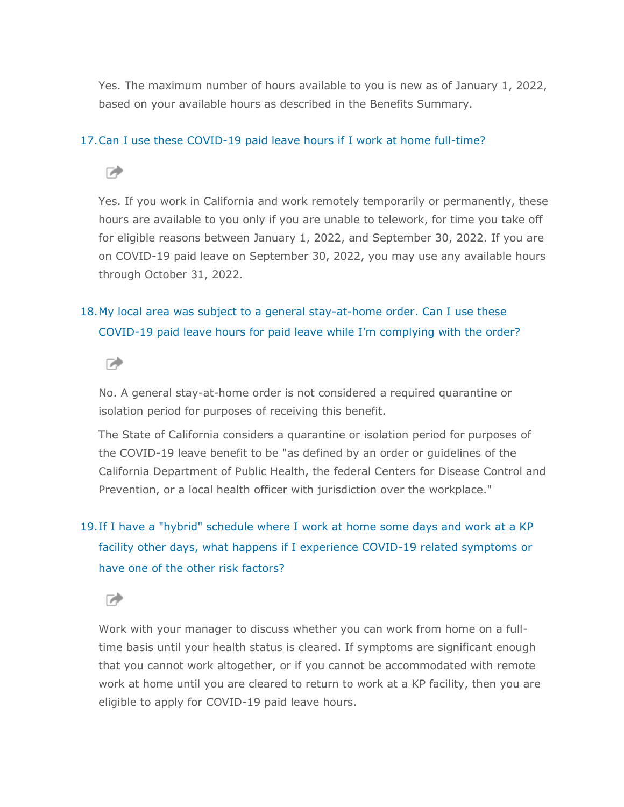Yes. The maximum number of hours available to you is new as of January 1, 2022, based on your available hours as described in the Benefits Summary.

#### 17[.Can I use these COVID-19 paid leave hours if I work at home full-time?](javascript:void(0);)

☞

Yes. If you work in California and work remotely temporarily or permanently, these hours are available to you only if you are unable to telework, for time you take off for eligible reasons between January 1, 2022, and September 30, 2022. If you are on COVID-19 paid leave on September 30, 2022, you may use any available hours through October 31, 2022.

### 18[.My local area was subject to a general stay-at-home order. Can I use these](javascript:void(0);)  [COVID-19 paid leave hours for paid leave while I](javascript:void(0);)'m complying with the order?



No. A general stay-at-home order is not considered a required quarantine or isolation period for purposes of receiving this benefit.

The State of California considers a quarantine or isolation period for purposes of the COVID-19 leave benefit to be "as defined by an order or guidelines of the California Department of Public Health, the federal Centers for Disease Control and Prevention, or a local health officer with jurisdiction over the workplace."

# 19[.If I have a "hybrid" schedule where I work at home some days and work at a KP](javascript:void(0);)  [facility other days, what happens if I experience COVID-19 related symptoms or](javascript:void(0);)  [have one of the other risk factors?](javascript:void(0);)

☞

Work with your manager to discuss whether you can work from home on a fulltime basis until your health status is cleared. If symptoms are significant enough that you cannot work altogether, or if you cannot be accommodated with remote work at home until you are cleared to return to work at a KP facility, then you are eligible to apply for COVID-19 paid leave hours.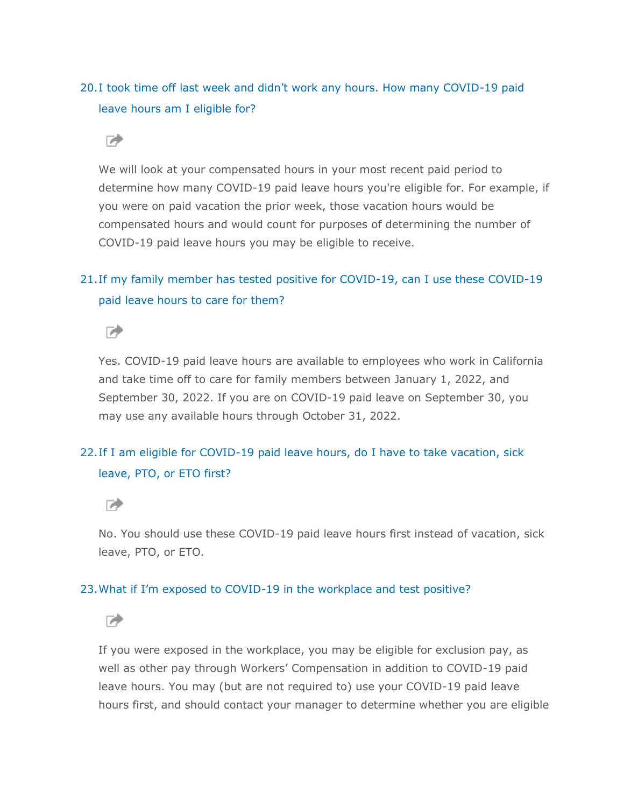### 20.[I took time off last week and didn't work any hours. How many COVID](javascript:void(0);)-19 paid [leave hours am I eligible for?](javascript:void(0);)

#### $\rightarrow$

We will look at your compensated hours in your most recent paid period to determine how many COVID-19 paid leave hours you're eligible for. For example, if you were on paid vacation the prior week, those vacation hours would be compensated hours and would count for purposes of determining the number of COVID-19 paid leave hours you may be eligible to receive.

### 21[.If my family member has tested positive for COVID-19, can I use these COVID-19](javascript:void(0);)  [paid leave hours to care for them?](javascript:void(0);)



Yes. COVID-19 paid leave hours are available to employees who work in California and take time off to care for family members between January 1, 2022, and September 30, 2022. If you are on COVID-19 paid leave on September 30, you may use any available hours through October 31, 2022.

#### 22[.If I am eligible for COVID-19 paid leave hours, do I have to take vacation, sick](javascript:void(0);)  [leave, PTO, or ETO first?](javascript:void(0);)

☞

No. You should use these COVID-19 paid leave hours first instead of vacation, sick leave, PTO, or ETO.

#### 23.What if I'm exposed to COVID[-19 in the workplace and test positive?](javascript:void(0);)

☞

If you were exposed in the workplace, you may be eligible for exclusion pay, as well as other pay through Workers' Compensation in addition to COVID-19 paid leave hours. You may (but are not required to) use your COVID-19 paid leave hours first, and should contact your manager to determine whether you are eligible